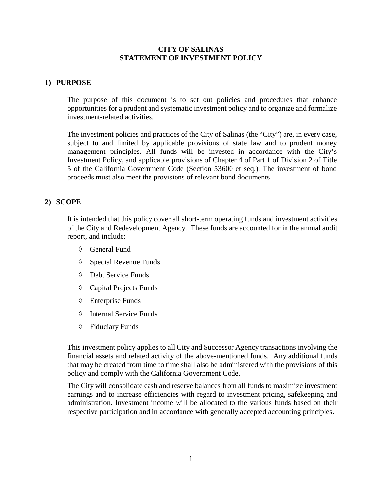#### **CITY OF SALINAS STATEMENT OF INVESTMENT POLICY**

#### **1) PURPOSE**

The purpose of this document is to set out policies and procedures that enhance opportunities for a prudent and systematic investment policy and to organize and formalize investment-related activities.

The investment policies and practices of the City of Salinas (the "City") are, in every case, subject to and limited by applicable provisions of state law and to prudent money management principles. All funds will be invested in accordance with the City's Investment Policy, and applicable provisions of Chapter 4 of Part 1 of Division 2 of Title 5 of the California Government Code (Section 53600 et seq.). The investment of bond proceeds must also meet the provisions of relevant bond documents.

#### **2) SCOPE**

It is intended that this policy cover all short-term operating funds and investment activities of the City and Redevelopment Agency. These funds are accounted for in the annual audit report, and include:

- ◊ General Fund
- ◊ Special Revenue Funds
- ◊ Debt Service Funds
- ◊ Capital Projects Funds
- ◊ Enterprise Funds
- ◊ Internal Service Funds
- ◊ Fiduciary Funds

This investment policy applies to all City and Successor Agency transactions involving the financial assets and related activity of the above-mentioned funds. Any additional funds that may be created from time to time shall also be administered with the provisions of this policy and comply with the California Government Code.

The City will consolidate cash and reserve balances from all funds to maximize investment earnings and to increase efficiencies with regard to investment pricing, safekeeping and administration. Investment income will be allocated to the various funds based on their respective participation and in accordance with generally accepted accounting principles.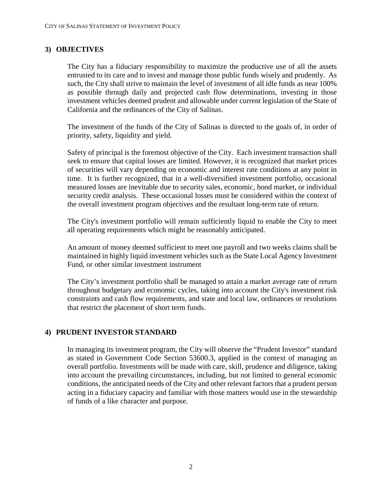## **3) OBJECTIVES**

The City has a fiduciary responsibility to maximize the productive use of all the assets entrusted to its care and to invest and manage those public funds wisely and prudently. As such, the City shall strive to maintain the level of investment of all idle funds as near 100% as possible through daily and projected cash flow determinations, investing in those investment vehicles deemed prudent and allowable under current legislation of the State of California and the ordinances of the City of Salinas.

The investment of the funds of the City of Salinas is directed to the goals of, in order of priority, safety, liquidity and yield.

Safety of principal is the foremost objective of the City. Each investment transaction shall seek to ensure that capital losses are limited. However, it is recognized that market prices of securities will vary depending on economic and interest rate conditions at any point in time. It is further recognized, that in a well-diversified investment portfolio, occasional measured losses are inevitable due to security sales, economic, bond market, or individual security credit analysis. These occasional losses must be considered within the context of the overall investment program objectives and the resultant long-term rate of return.

The City's investment portfolio will remain sufficiently liquid to enable the City to meet all operating requirements which might be reasonably anticipated.

An amount of money deemed sufficient to meet one payroll and two weeks claims shall be maintained in highly liquid investment vehicles such as the State Local Agency Investment Fund, or other similar investment instrument

The City's investment portfolio shall be managed to attain a market average rate of return throughout budgetary and economic cycles, taking into account the City's investment risk constraints and cash flow requirements, and state and local law, ordinances or resolutions that restrict the placement of short term funds.

## **4) PRUDENT INVESTOR STANDARD**

In managing its investment program, the City will observe the "Prudent Investor" standard as stated in Government Code Section 53600.3, applied in the context of managing an overall portfolio. Investments will be made with care, skill, prudence and diligence, taking into account the prevailing circumstances, including, but not limited to general economic conditions, the anticipated needs of the City and other relevant factors that a prudent person acting in a fiduciary capacity and familiar with those matters would use in the stewardship of funds of a like character and purpose.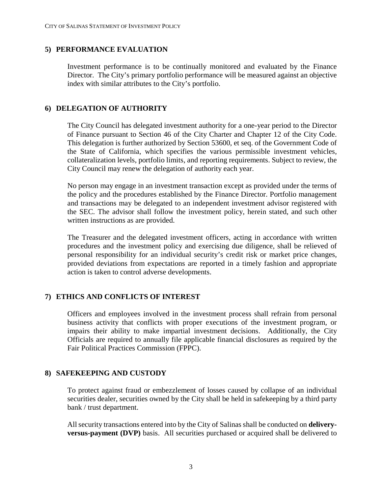## **5) PERFORMANCE EVALUATION**

Investment performance is to be continually monitored and evaluated by the Finance Director. The City's primary portfolio performance will be measured against an objective index with similar attributes to the City's portfolio.

## **6) DELEGATION OF AUTHORITY**

The City Council has delegated investment authority for a one-year period to the Director of Finance pursuant to Section 46 of the City Charter and Chapter 12 of the City Code. This delegation is further authorized by Section 53600, et seq. of the Government Code of the State of California, which specifies the various permissible investment vehicles, collateralization levels, portfolio limits, and reporting requirements. Subject to review, the City Council may renew the delegation of authority each year.

No person may engage in an investment transaction except as provided under the terms of the policy and the procedures established by the Finance Director. Portfolio management and transactions may be delegated to an independent investment advisor registered with the SEC. The advisor shall follow the investment policy, herein stated, and such other written instructions as are provided.

The Treasurer and the delegated investment officers, acting in accordance with written procedures and the investment policy and exercising due diligence, shall be relieved of personal responsibility for an individual security's credit risk or market price changes, provided deviations from expectations are reported in a timely fashion and appropriate action is taken to control adverse developments.

## **7) ETHICS AND CONFLICTS OF INTEREST**

Officers and employees involved in the investment process shall refrain from personal business activity that conflicts with proper executions of the investment program, or impairs their ability to make impartial investment decisions. Additionally, the City Officials are required to annually file applicable financial disclosures as required by the Fair Political Practices Commission (FPPC).

## **8) SAFEKEEPING AND CUSTODY**

To protect against fraud or embezzlement of losses caused by collapse of an individual securities dealer, securities owned by the City shall be held in safekeeping by a third party bank / trust department.

All security transactions entered into by the City of Salinas shall be conducted on **deliveryversus-payment (DVP)** basis. All securities purchased or acquired shall be delivered to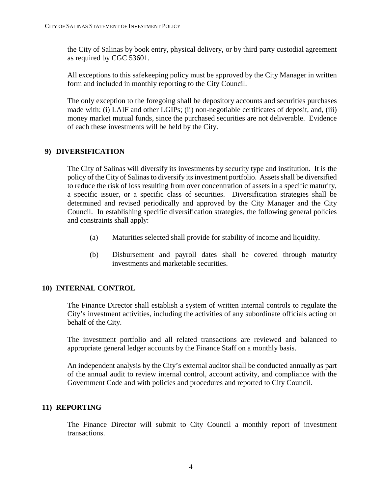the City of Salinas by book entry, physical delivery, or by third party custodial agreement as required by CGC 53601.

All exceptions to this safekeeping policy must be approved by the City Manager in written form and included in monthly reporting to the City Council.

The only exception to the foregoing shall be depository accounts and securities purchases made with: (i) LAIF and other LGIPs; (ii) non-negotiable certificates of deposit, and, (iii) money market mutual funds, since the purchased securities are not deliverable. Evidence of each these investments will be held by the City.

## **9) DIVERSIFICATION**

The City of Salinas will diversify its investments by security type and institution. It is the policy of the City of Salinas to diversify its investment portfolio. Assets shall be diversified to reduce the risk of loss resulting from over concentration of assets in a specific maturity, a specific issuer, or a specific class of securities. Diversification strategies shall be determined and revised periodically and approved by the City Manager and the City Council. In establishing specific diversification strategies, the following general policies and constraints shall apply:

- (a) Maturities selected shall provide for stability of income and liquidity.
- (b) Disbursement and payroll dates shall be covered through maturity investments and marketable securities.

## **10) INTERNAL CONTROL**

The Finance Director shall establish a system of written internal controls to regulate the City's investment activities, including the activities of any subordinate officials acting on behalf of the City.

The investment portfolio and all related transactions are reviewed and balanced to appropriate general ledger accounts by the Finance Staff on a monthly basis.

An independent analysis by the City's external auditor shall be conducted annually as part of the annual audit to review internal control, account activity, and compliance with the Government Code and with policies and procedures and reported to City Council.

#### **11) REPORTING**

The Finance Director will submit to City Council a monthly report of investment transactions.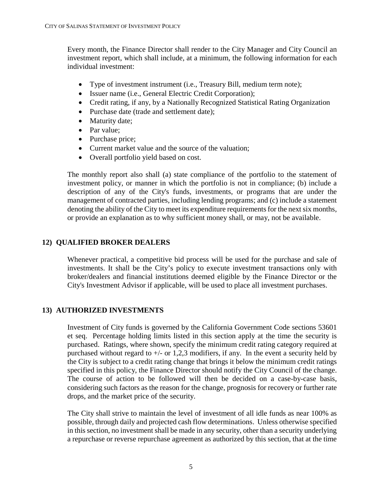Every month, the Finance Director shall render to the City Manager and City Council an investment report, which shall include, at a minimum, the following information for each individual investment:

- Type of investment instrument (i.e., Treasury Bill, medium term note);
- Issuer name (i.e., General Electric Credit Corporation);
- Credit rating, if any, by a Nationally Recognized Statistical Rating Organization
- Purchase date (trade and settlement date);
- Maturity date;
- Par value;
- Purchase price;
- Current market value and the source of the valuation;
- Overall portfolio yield based on cost.

The monthly report also shall (a) state compliance of the portfolio to the statement of investment policy, or manner in which the portfolio is not in compliance; (b) include a description of any of the City's funds, investments, or programs that are under the management of contracted parties, including lending programs; and (c) include a statement denoting the ability of the City to meet its expenditure requirements for the next six months, or provide an explanation as to why sufficient money shall, or may, not be available.

## **12) QUALIFIED BROKER DEALERS**

Whenever practical, a competitive bid process will be used for the purchase and sale of investments. It shall be the City's policy to execute investment transactions only with broker/dealers and financial institutions deemed eligible by the Finance Director or the City's Investment Advisor if applicable, will be used to place all investment purchases.

#### **13) AUTHORIZED INVESTMENTS**

Investment of City funds is governed by the California Government Code sections 53601 et seq. Percentage holding limits listed in this section apply at the time the security is purchased. Ratings, where shown, specify the minimum credit rating category required at purchased without regard to  $+/-$  or 1,2,3 modifiers, if any. In the event a security held by the City is subject to a credit rating change that brings it below the minimum credit ratings specified in this policy, the Finance Director should notify the City Council of the change. The course of action to be followed will then be decided on a case-by-case basis, considering such factors as the reason for the change, prognosis for recovery or further rate drops, and the market price of the security.

The City shall strive to maintain the level of investment of all idle funds as near 100% as possible, through daily and projected cash flow determinations. Unless otherwise specified in this section, no investment shall be made in any security, other than a security underlying a repurchase or reverse repurchase agreement as authorized by this section, that at the time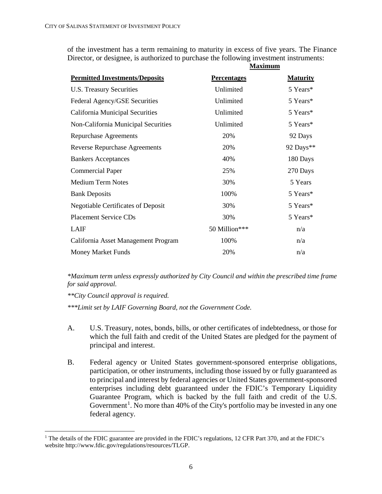of the investment has a term remaining to maturity in excess of five years. The Finance Director, or designee, is authorized to purchase the following investment instruments:

|                                           | <b>Maximum</b>     |                 |
|-------------------------------------------|--------------------|-----------------|
| <b>Permitted Investments/Deposits</b>     | <b>Percentages</b> | <b>Maturity</b> |
| U.S. Treasury Securities                  | Unlimited          | 5 Years*        |
| Federal Agency/GSE Securities             | Unlimited          | 5 Years*        |
| California Municipal Securities           | Unlimited          | 5 Years*        |
| Non-California Municipal Securities       | Unlimited          | 5 Years*        |
| <b>Repurchase Agreements</b>              | 20%                | 92 Days         |
| <b>Reverse Repurchase Agreements</b>      | 20%                | 92 Days**       |
| <b>Bankers Acceptances</b>                | 40%                | 180 Days        |
| <b>Commercial Paper</b>                   | 25%                | 270 Days        |
| <b>Medium Term Notes</b>                  | 30%                | 5 Years         |
| <b>Bank Deposits</b>                      | 100%               | 5 Years*        |
| <b>Negotiable Certificates of Deposit</b> | 30%                | 5 Years*        |
| <b>Placement Service CDs</b>              | 30%                | 5 Years*        |
| LAIF                                      | 50 Million***      | n/a             |
| California Asset Management Program       | 100%               | n/a             |
| <b>Money Market Funds</b>                 | 20%                | n/a             |

*\*Maximum term unless expressly authorized by City Council and within the prescribed time frame for said approval.*

*\*\*City Council approval is required.* 

*\*\*\*Limit set by LAIF Governing Board, not the Government Code.*

- A. U.S. Treasury, notes, bonds, bills, or other certificates of indebtedness, or those for which the full faith and credit of the United States are pledged for the payment of principal and interest.
- B. Federal agency or United States government-sponsored enterprise obligations, participation, or other instruments, including those issued by or fully guaranteed as to principal and interest by federal agencies or United States government-sponsored enterprises including debt guaranteed under the FDIC's Temporary Liquidity Guarantee Program, which is backed by the full faith and credit of the U.S. Government<sup>[1](#page-5-0)</sup>. No more than 40% of the City's portfolio may be invested in any one federal agency.

<span id="page-5-0"></span><sup>&</sup>lt;sup>1</sup> The details of the FDIC guarantee are provided in the FDIC's regulations, 12 CFR Part 370, and at the FDIC's website http://www.fdic.gov/regulations/resources/TLGP.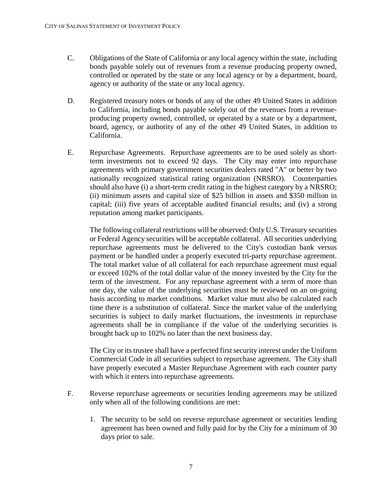- C. Obligations of the State of California or any local agency within the state, including bonds payable solely out of revenues from a revenue producing property owned, controlled or operated by the state or any local agency or by a department, board, agency or authority of the state or any local agency.
- D. Registered treasury notes or bonds of any of the other 49 United States in addition to California, including bonds payable solely out of the revenues from a revenueproducing property owned, controlled, or operated by a state or by a department, board, agency, or authority of any of the other 49 United States, in addition to California.
- E. Repurchase Agreements. Repurchase agreements are to be used solely as shortterm investments not to exceed 92 days. The City may enter into repurchase agreements with primary government securities dealers rated "A" or better by two nationally recognized statistical rating organization (NRSRO). Counterparties should also have (i) a short-term credit rating in the highest category by a NRSRO; (ii) minimum assets and capital size of \$25 billion in assets and \$350 million in capital; (iii) five years of acceptable audited financial results; and (iv) a strong reputation among market participants.

The following collateral restrictions will be observed: Only U.S. Treasury securities or Federal Agency securities will be acceptable collateral. All securities underlying repurchase agreements must be delivered to the City's custodian bank versus payment or be handled under a properly executed tri-party repurchase agreement. The total market value of all collateral for each repurchase agreement must equal or exceed 102% of the total dollar value of the money invested by the City for the term of the investment. For any repurchase agreement with a term of more than one day, the value of the underlying securities must be reviewed on an on-going basis according to market conditions. Market value must also be calculated each time there is a substitution of collateral. Since the market value of the underlying securities is subject to daily market fluctuations, the investments in repurchase agreements shall be in compliance if the value of the underlying securities is brought back up to 102% no later than the next business day.

The City or its trustee shall have a perfected first security interest under the Uniform Commercial Code in all securities subject to repurchase agreement. The City shall have properly executed a Master Repurchase Agreement with each counter party with which it enters into repurchase agreements.

- F. Reverse repurchase agreements or securities lending agreements may be utilized only when all of the following conditions are met:
	- 1. The security to be sold on reverse repurchase agreement or securities lending agreement has been owned and fully paid for by the City for a minimum of 30 days prior to sale.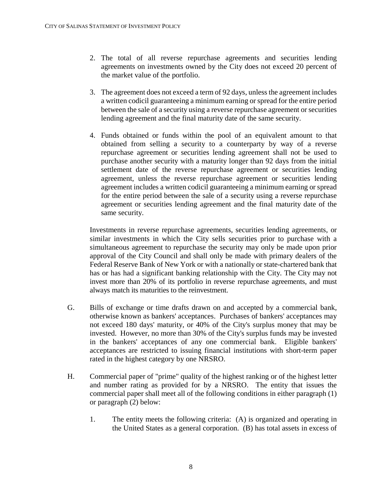- 2. The total of all reverse repurchase agreements and securities lending agreements on investments owned by the City does not exceed 20 percent of the market value of the portfolio.
- 3. The agreement does not exceed a term of 92 days, unless the agreement includes a written codicil guaranteeing a minimum earning or spread for the entire period between the sale of a security using a reverse repurchase agreement or securities lending agreement and the final maturity date of the same security.
- 4. Funds obtained or funds within the pool of an equivalent amount to that obtained from selling a security to a counterparty by way of a reverse repurchase agreement or securities lending agreement shall not be used to purchase another security with a maturity longer than 92 days from the initial settlement date of the reverse repurchase agreement or securities lending agreement, unless the reverse repurchase agreement or securities lending agreement includes a written codicil guaranteeing a minimum earning or spread for the entire period between the sale of a security using a reverse repurchase agreement or securities lending agreement and the final maturity date of the same security.

Investments in reverse repurchase agreements, securities lending agreements, or similar investments in which the City sells securities prior to purchase with a simultaneous agreement to repurchase the security may only be made upon prior approval of the City Council and shall only be made with primary dealers of the Federal Reserve Bank of New York or with a nationally or state-chartered bank that has or has had a significant banking relationship with the City. The City may not invest more than 20% of its portfolio in reverse repurchase agreements, and must always match its maturities to the reinvestment.

- G. Bills of exchange or time drafts drawn on and accepted by a commercial bank, otherwise known as bankers' acceptances. Purchases of bankers' acceptances may not exceed 180 days' maturity, or 40% of the City's surplus money that may be invested. However, no more than 30% of the City's surplus funds may be invested in the bankers' acceptances of any one commercial bank. Eligible bankers' acceptances are restricted to issuing financial institutions with short-term paper rated in the highest category by one NRSRO.
- H. Commercial paper of "prime" quality of the highest ranking or of the highest letter and number rating as provided for by a NRSRO. The entity that issues the commercial paper shall meet all of the following conditions in either paragraph (1) or paragraph (2) below:
	- 1. The entity meets the following criteria: (A) is organized and operating in the United States as a general corporation. (B) has total assets in excess of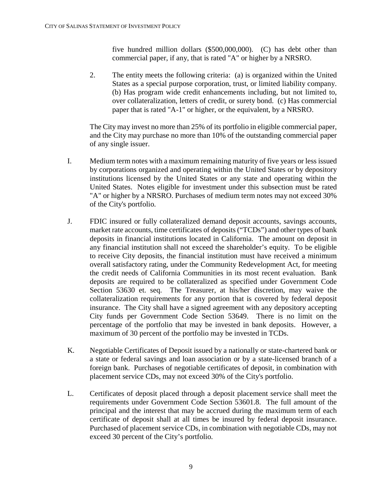five hundred million dollars (\$500,000,000). (C) has debt other than commercial paper, if any, that is rated "A" or higher by a NRSRO.

2. The entity meets the following criteria: (a) is organized within the United States as a special purpose corporation, trust, or limited liability company. (b) Has program wide credit enhancements including, but not limited to, over collateralization, letters of credit, or surety bond. (c) Has commercial paper that is rated "A-1" or higher, or the equivalent, by a NRSRO.

The City may invest no more than 25% of its portfolio in eligible commercial paper, and the City may purchase no more than 10% of the outstanding commercial paper of any single issuer.

- I. Medium term notes with a maximum remaining maturity of five years or less issued by corporations organized and operating within the United States or by depository institutions licensed by the United States or any state and operating within the United States. Notes eligible for investment under this subsection must be rated "A" or higher by a NRSRO. Purchases of medium term notes may not exceed 30% of the City's portfolio.
- J. FDIC insured or fully collateralized demand deposit accounts, savings accounts, market rate accounts, time certificates of deposits ("TCDs") and other types of bank deposits in financial institutions located in California. The amount on deposit in any financial institution shall not exceed the shareholder's equity. To be eligible to receive City deposits, the financial institution must have received a minimum overall satisfactory rating, under the Community Redevelopment Act, for meeting the credit needs of California Communities in its most recent evaluation. Bank deposits are required to be collateralized as specified under Government Code Section 53630 et. seq. The Treasurer, at his/her discretion, may waive the collateralization requirements for any portion that is covered by federal deposit insurance. The City shall have a signed agreement with any depository accepting City funds per Government Code Section 53649. There is no limit on the percentage of the portfolio that may be invested in bank deposits. However, a maximum of 30 percent of the portfolio may be invested in TCDs.
- K. Negotiable Certificates of Deposit issued by a nationally or state-chartered bank or a state or federal savings and loan association or by a state-licensed branch of a foreign bank. Purchases of negotiable certificates of deposit, in combination with placement service CDs, may not exceed 30% of the City's portfolio.
- L. Certificates of deposit placed through a deposit placement service shall meet the requirements under Government Code Section 53601.8. The full amount of the principal and the interest that may be accrued during the maximum term of each certificate of deposit shall at all times be insured by federal deposit insurance. Purchased of placement service CDs, in combination with negotiable CDs, may not exceed 30 percent of the City's portfolio.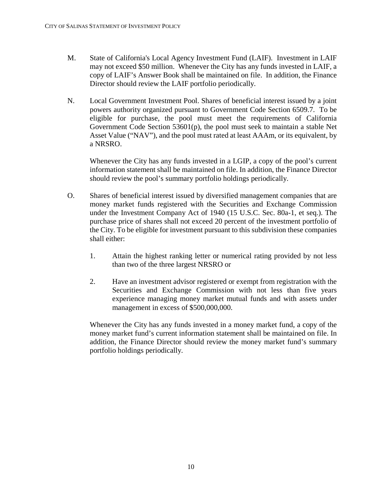- M. State of California's Local Agency Investment Fund (LAIF). Investment in LAIF may not exceed \$50 million. Whenever the City has any funds invested in LAIF, a copy of LAIF's Answer Book shall be maintained on file. In addition, the Finance Director should review the LAIF portfolio periodically.
- N. Local Government Investment Pool. Shares of beneficial interest issued by a joint powers authority organized pursuant to Government Code Section 6509.7. To be eligible for purchase, the pool must meet the requirements of California Government Code Section 53601(p), the pool must seek to maintain a stable Net Asset Value ("NAV"), and the pool must rated at least AAAm, or its equivalent, by a NRSRO.

Whenever the City has any funds invested in a LGIP, a copy of the pool's current information statement shall be maintained on file. In addition, the Finance Director should review the pool's summary portfolio holdings periodically.

- O. Shares of beneficial interest issued by diversified management companies that are money market funds registered with the Securities and Exchange Commission under the Investment Company Act of 1940 (15 U.S.C. Sec. 80a-1, et seq.). The purchase price of shares shall not exceed 20 percent of the investment portfolio of the City. To be eligible for investment pursuant to this subdivision these companies shall either:
	- 1. Attain the highest ranking letter or numerical rating provided by not less than two of the three largest NRSRO or
	- 2. Have an investment advisor registered or exempt from registration with the Securities and Exchange Commission with not less than five years experience managing money market mutual funds and with assets under management in excess of \$500,000,000.

Whenever the City has any funds invested in a money market fund, a copy of the money market fund's current information statement shall be maintained on file. In addition, the Finance Director should review the money market fund's summary portfolio holdings periodically.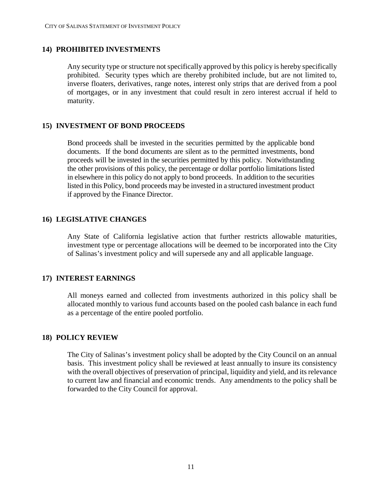## **14) PROHIBITED INVESTMENTS**

Any security type or structure not specifically approved by this policy is hereby specifically prohibited. Security types which are thereby prohibited include, but are not limited to, inverse floaters, derivatives, range notes, interest only strips that are derived from a pool of mortgages, or in any investment that could result in zero interest accrual if held to maturity.

## **15) INVESTMENT OF BOND PROCEEDS**

Bond proceeds shall be invested in the securities permitted by the applicable bond documents. If the bond documents are silent as to the permitted investments, bond proceeds will be invested in the securities permitted by this policy. Notwithstanding the other provisions of this policy, the percentage or dollar portfolio limitations listed in elsewhere in this policy do not apply to bond proceeds. In addition to the securities listed in this Policy, bond proceeds may be invested in a structured investment product if approved by the Finance Director.

## **16) LEGISLATIVE CHANGES**

Any State of California legislative action that further restricts allowable maturities, investment type or percentage allocations will be deemed to be incorporated into the City of Salinas's investment policy and will supersede any and all applicable language.

## **17) INTEREST EARNINGS**

All moneys earned and collected from investments authorized in this policy shall be allocated monthly to various fund accounts based on the pooled cash balance in each fund as a percentage of the entire pooled portfolio.

## **18) POLICY REVIEW**

The City of Salinas's investment policy shall be adopted by the City Council on an annual basis. This investment policy shall be reviewed at least annually to insure its consistency with the overall objectives of preservation of principal, liquidity and yield, and its relevance to current law and financial and economic trends. Any amendments to the policy shall be forwarded to the City Council for approval.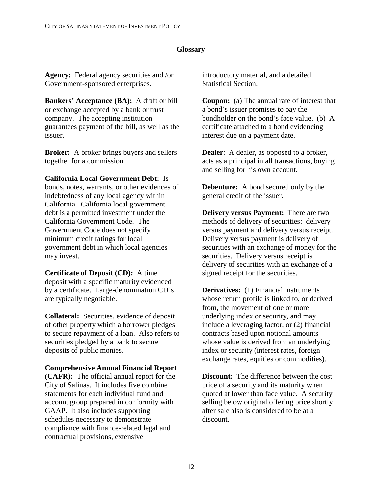## **Glossary**

**Agency:** Federal agency securities and /or Government-sponsored enterprises.

**Bankers' Acceptance (BA):** A draft or bill or exchange accepted by a bank or trust company. The accepting institution guarantees payment of the bill, as well as the issuer.

**Broker:** A broker brings buyers and sellers together for a commission.

**California Local Government Debt:** Is

bonds, notes, warrants, or other evidences of indebtedness of any local agency within California. California local government debt is a permitted investment under the California Government Code. The Government Code does not specify minimum credit ratings for local government debt in which local agencies may invest.

**Certificate of Deposit (CD):** A time deposit with a specific maturity evidenced by a certificate. Large-denomination CD's are typically negotiable.

**Collateral:** Securities, evidence of deposit of other property which a borrower pledges to secure repayment of a loan. Also refers to securities pledged by a bank to secure deposits of public monies.

#### **Comprehensive Annual Financial Report**

**(CAFR):** The official annual report for the City of Salinas. It includes five combine statements for each individual fund and account group prepared in conformity with GAAP. It also includes supporting schedules necessary to demonstrate compliance with finance-related legal and contractual provisions, extensive

introductory material, and a detailed Statistical Section.

**Coupon:** (a) The annual rate of interest that a bond's issuer promises to pay the bondholder on the bond's face value. (b) A certificate attached to a bond evidencing interest due on a payment date.

**Dealer**: A dealer, as opposed to a broker, acts as a principal in all transactions, buying and selling for his own account.

**Debenture:** A bond secured only by the general credit of the issuer.

**Delivery versus Payment:** There are two methods of delivery of securities: delivery versus payment and delivery versus receipt. Delivery versus payment is delivery of securities with an exchange of money for the securities. Delivery versus receipt is delivery of securities with an exchange of a signed receipt for the securities.

**Derivatives:** (1) Financial instruments whose return profile is linked to, or derived from, the movement of one or more underlying index or security, and may include a leveraging factor, or (2) financial contracts based upon notional amounts whose value is derived from an underlying index or security (interest rates, foreign exchange rates, equities or commodities).

**Discount:** The difference between the cost price of a security and its maturity when quoted at lower than face value. A security selling below original offering price shortly after sale also is considered to be at a discount.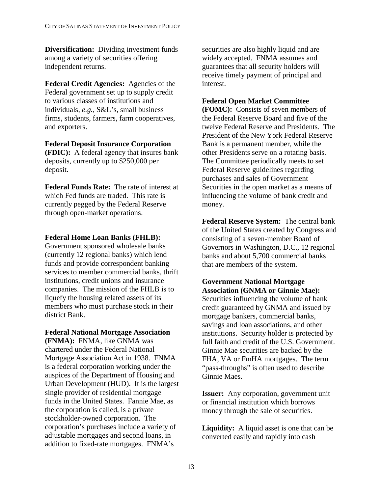**Diversification:** Dividing investment funds among a variety of securities offering independent returns.

**Federal Credit Agencies:** Agencies of the Federal government set up to supply credit to various classes of institutions and individuals, *e.g.,* S&L's, small business firms, students, farmers, farm cooperatives, and exporters.

#### **Federal Deposit Insurance Corporation (FDIC):** A federal agency that insures bank deposits, currently up to \$250,000 per

**Federal Funds Rate:** The rate of interest at which Fed funds are traded. This rate is currently pegged by the Federal Reserve

through open-market operations.

deposit.

## **Federal Home Loan Banks (FHLB):**

Government sponsored wholesale banks (currently 12 regional banks) which lend funds and provide correspondent banking services to member commercial banks, thrift institutions, credit unions and insurance companies. The mission of the FHLB is to liquefy the housing related assets of its members who must purchase stock in their district Bank.

#### **Federal National Mortgage Association**

**(FNMA):** FNMA, like GNMA was chartered under the Federal National Mortgage Association Act in 1938. FNMA is a federal corporation working under the auspices of the Department of Housing and Urban Development (HUD). It is the largest single provider of residential mortgage funds in the United States. Fannie Mae, as the corporation is called, is a private stockholder-owned corporation. The corporation's purchases include a variety of adjustable mortgages and second loans, in addition to fixed-rate mortgages. FNMA's

securities are also highly liquid and are widely accepted. FNMA assumes and guarantees that all security holders will receive timely payment of principal and interest.

## **Federal Open Market Committee**

**(FOMC):** Consists of seven members of the Federal Reserve Board and five of the twelve Federal Reserve and Presidents. The President of the New York Federal Reserve Bank is a permanent member, while the other Presidents serve on a rotating basis. The Committee periodically meets to set Federal Reserve guidelines regarding purchases and sales of Government Securities in the open market as a means of influencing the volume of bank credit and money.

**Federal Reserve System:** The central bank of the United States created by Congress and consisting of a seven-member Board of Governors in Washington, D.C., 12 regional banks and about 5,700 commercial banks that are members of the system.

## **Government National Mortgage Association (GNMA or Ginnie Mae):** Securities influencing the volume of bank credit guaranteed by GNMA and issued by mortgage bankers, commercial banks, savings and loan associations, and other institutions. Security holder is protected by full faith and credit of the U.S. Government. Ginnie Mae securities are backed by the FHA, VA or FmHA mortgages. The term "pass-throughs" is often used to describe Ginnie Maes.

**Issuer:** Any corporation, government unit or financial institution which borrows money through the sale of securities.

**Liquidity:** A liquid asset is one that can be converted easily and rapidly into cash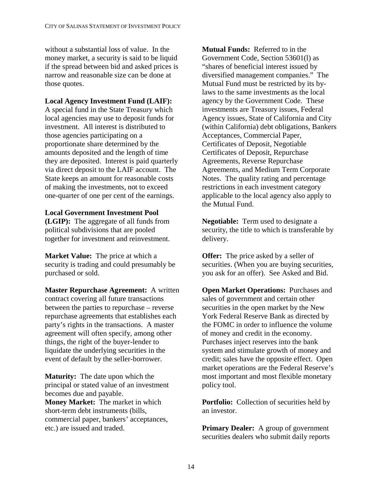without a substantial loss of value. In the money market, a security is said to be liquid if the spread between bid and asked prices is narrow and reasonable size can be done at those quotes.

## **Local Agency Investment Fund (LAIF):**

A special fund in the State Treasury which local agencies may use to deposit funds for investment. All interest is distributed to those agencies participating on a proportionate share determined by the amounts deposited and the length of time they are deposited. Interest is paid quarterly via direct deposit to the LAIF account. The State keeps an amount for reasonable costs of making the investments, not to exceed one-quarter of one per cent of the earnings.

## **Local Government Investment Pool**

**(LGIP):** The aggregate of all funds from political subdivisions that are pooled together for investment and reinvestment.

**Market Value:** The price at which a security is trading and could presumably be purchased or sold.

**Master Repurchase Agreement:** A written contract covering all future transactions between the parties to repurchase – reverse repurchase agreements that establishes each party's rights in the transactions. A master agreement will often specify, among other things, the right of the buyer-lender to liquidate the underlying securities in the event of default by the seller-borrower.

**Maturity:** The date upon which the principal or stated value of an investment becomes due and payable. **Money Market:** The market in which short-term debt instruments (bills, commercial paper, bankers' acceptances, etc.) are issued and traded.

**Mutual Funds:** Referred to in the Government Code, Section 53601(l) as "shares of beneficial interest issued by diversified management companies." The Mutual Fund must be restricted by its bylaws to the same investments as the local agency by the Government Code. These investments are Treasury issues, Federal Agency issues, State of California and City (within California) debt obligations, Bankers Acceptances, Commercial Paper, Certificates of Deposit, Negotiable Certificates of Deposit, Repurchase Agreements, Reverse Repurchase Agreements, and Medium Term Corporate Notes. The quality rating and percentage restrictions in each investment category applicable to the local agency also apply to the Mutual Fund.

**Negotiable:** Term used to designate a security, the title to which is transferable by delivery.

**Offer:** The price asked by a seller of securities. (When you are buying securities, you ask for an offer). See Asked and Bid.

**Open Market Operations: Purchases and** sales of government and certain other securities in the open market by the New York Federal Reserve Bank as directed by the FOMC in order to influence the volume of money and credit in the economy. Purchases inject reserves into the bank system and stimulate growth of money and credit; sales have the opposite effect. Open market operations are the Federal Reserve's most important and most flexible monetary policy tool.

**Portfolio:** Collection of securities held by an investor.

**Primary Dealer:** A group of government securities dealers who submit daily reports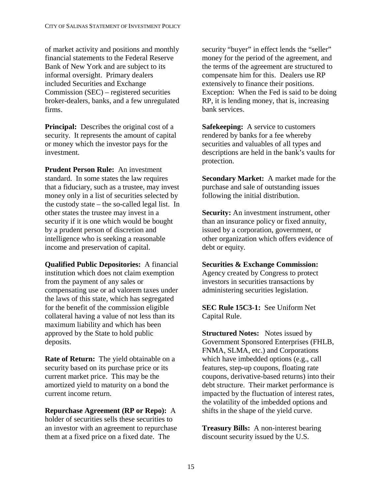of market activity and positions and monthly financial statements to the Federal Reserve Bank of New York and are subject to its informal oversight. Primary dealers included Securities and Exchange Commission (SEC) – registered securities broker-dealers, banks, and a few unregulated firms.

**Principal:** Describes the original cost of a security. It represents the amount of capital or money which the investor pays for the investment.

**Prudent Person Rule:** An investment standard. In some states the law requires that a fiduciary, such as a trustee, may invest money only in a list of securities selected by the custody state – the so-called legal list. In other states the trustee may invest in a security if it is one which would be bought by a prudent person of discretion and intelligence who is seeking a reasonable income and preservation of capital.

**Qualified Public Depositories:** A financial institution which does not claim exemption from the payment of any sales or compensating use or ad valorem taxes under the laws of this state, which has segregated for the benefit of the commission eligible collateral having a value of not less than its maximum liability and which has been approved by the State to hold public deposits.

**Rate of Return:** The yield obtainable on a security based on its purchase price or its current market price. This may be the amortized yield to maturity on a bond the current income return.

**Repurchase Agreement (RP or Repo):** A holder of securities sells these securities to an investor with an agreement to repurchase them at a fixed price on a fixed date. The

security "buyer" in effect lends the "seller" money for the period of the agreement, and the terms of the agreement are structured to compensate him for this. Dealers use RP extensively to finance their positions. Exception: When the Fed is said to be doing RP, it is lending money, that is, increasing bank services.

**Safekeeping:** A service to customers rendered by banks for a fee whereby securities and valuables of all types and descriptions are held in the bank's vaults for protection.

**Secondary Market:** A market made for the purchase and sale of outstanding issues following the initial distribution.

**Security:** An [investment instrument,](http://www.businessdictionary.com/definition/investment-instrument.html) other than an [insurance policy](http://www.investorwords.com/2517/insurance_policy.html) or [fixed annuity,](http://www.investorwords.com/1987/fixed_annuity.html) issued by a [corporation,](http://www.investorwords.com/1140/corporation.html) [government,](http://www.businessdictionary.com/definition/government.html) or other [organization](http://www.investorwords.com/3504/organization.html) which [offers](http://www.investorwords.com/3389/offer.html) [evidence](http://www.businessdictionary.com/definition/evidence.html) of [debt](http://www.investorwords.com/1313/debt.html) or [equity.](http://www.investorwords.com/1726/equity.html)

#### **Securities & Exchange Commission:**

Agency created by Congress to protect investors in securities transactions by administering securities legislation.

**SEC Rule 15C3-1:** See Uniform Net Capital Rule.

**Structured Notes:** Notes issued by Government Sponsored Enterprises (FHLB, FNMA, SLMA, etc.) and Corporations which have imbedded options (e.g., call features, step-up coupons, floating rate coupons, derivative-based returns) into their debt structure. Their market performance is impacted by the fluctuation of interest rates, the volatility of the imbedded options and shifts in the shape of the yield curve.

**Treasury Bills:** A non-interest bearing discount security issued by the U.S.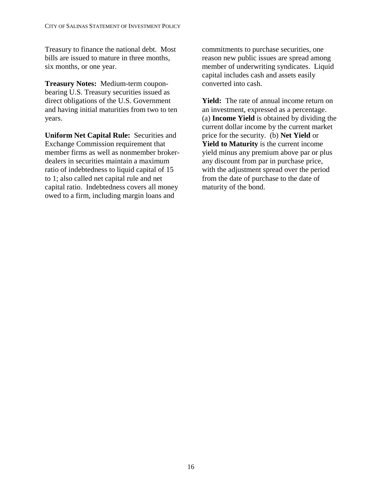Treasury to finance the national debt. Most bills are issued to mature in three months, six months, or one year.

**Treasury Notes:** Medium-term couponbearing U.S. Treasury securities issued as direct obligations of the U.S. Government and having initial maturities from two to ten years.

**Uniform Net Capital Rule:** Securities and Exchange Commission requirement that member firms as well as nonmember brokerdealers in securities maintain a maximum ratio of indebtedness to liquid capital of 15 to 1; also called net capital rule and net capital ratio. Indebtedness covers all money owed to a firm, including margin loans and

commitments to purchase securities, one reason new public issues are spread among member of underwriting syndicates. Liquid capital includes cash and assets easily converted into cash.

**Yield:** The rate of annual income return on an investment, expressed as a percentage. (a) **Income Yield** is obtained by dividing the current dollar income by the current market price for the security. (b) **Net Yield** or **Yield to Maturity** is the current income yield minus any premium above par or plus any discount from par in purchase price, with the adjustment spread over the period from the date of purchase to the date of maturity of the bond.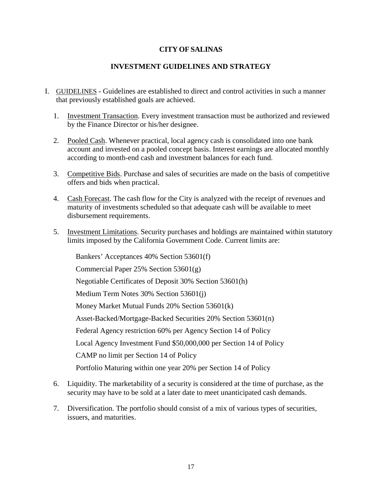## **INVESTMENT GUIDELINES AND STRATEGY**

- I. GUIDELINES Guidelines are established to direct and control activities in such a manner that previously established goals are achieved.
	- 1. Investment Transaction. Every investment transaction must be authorized and reviewed by the Finance Director or his/her designee.
	- 2. Pooled Cash. Whenever practical, local agency cash is consolidated into one bank account and invested on a pooled concept basis. Interest earnings are allocated monthly according to month-end cash and investment balances for each fund.
	- 3. Competitive Bids. Purchase and sales of securities are made on the basis of competitive offers and bids when practical.
	- 4. Cash Forecast. The cash flow for the City is analyzed with the receipt of revenues and maturity of investments scheduled so that adequate cash will be available to meet disbursement requirements.
	- 5. Investment Limitations. Security purchases and holdings are maintained within statutory limits imposed by the California Government Code. Current limits are:

Bankers' Acceptances 40% Section 53601(f) Commercial Paper 25% Section 53601(g) Negotiable Certificates of Deposit 30% Section 53601(h) Medium Term Notes 30% Section 53601(j) Money Market Mutual Funds 20% Section 53601(k) Asset-Backed/Mortgage-Backed Securities 20% Section 53601(n) Federal Agency restriction 60% per Agency Section 14 of Policy Local Agency Investment Fund \$50,000,000 per Section 14 of Policy CAMP no limit per Section 14 of Policy Portfolio Maturing within one year 20% per Section 14 of Policy

- 6. Liquidity. The marketability of a security is considered at the time of purchase, as the security may have to be sold at a later date to meet unanticipated cash demands.
- 7. Diversification. The portfolio should consist of a mix of various types of securities, issuers, and maturities.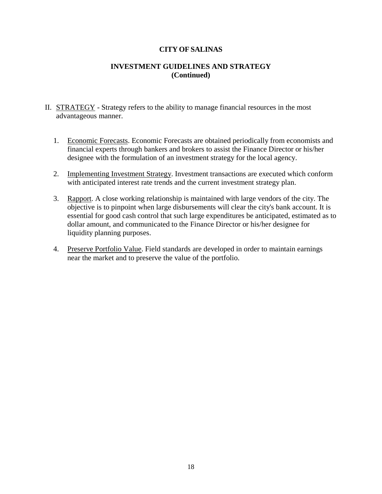## **INVESTMENT GUIDELINES AND STRATEGY (Continued)**

- II. STRATEGY Strategy refers to the ability to manage financial resources in the most advantageous manner.
	- 1. Economic Forecasts. Economic Forecasts are obtained periodically from economists and financial experts through bankers and brokers to assist the Finance Director or his/her designee with the formulation of an investment strategy for the local agency.
	- 2. Implementing Investment Strategy. Investment transactions are executed which conform with anticipated interest rate trends and the current investment strategy plan.
	- 3. Rapport. A close working relationship is maintained with large vendors of the city. The objective is to pinpoint when large disbursements will clear the city's bank account. It is essential for good cash control that such large expenditures be anticipated, estimated as to dollar amount, and communicated to the Finance Director or his/her designee for liquidity planning purposes.
	- 4. Preserve Portfolio Value. Field standards are developed in order to maintain earnings near the market and to preserve the value of the portfolio.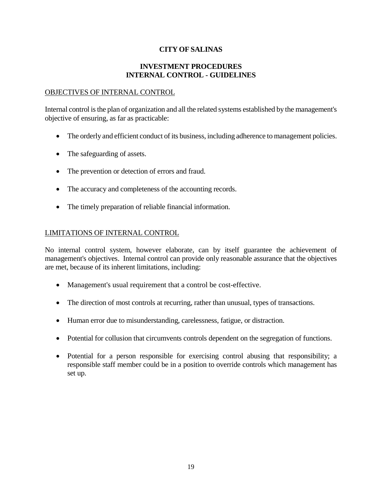## **INVESTMENT PROCEDURES INTERNAL CONTROL - GUIDELINES**

#### OBJECTIVES OF INTERNAL CONTROL

Internal control is the plan of organization and all the related systems established by the management's objective of ensuring, as far as practicable:

- The orderly and efficient conduct of its business, including adherence to management policies.
- The safeguarding of assets.
- The prevention or detection of errors and fraud.
- The accuracy and completeness of the accounting records.
- The timely preparation of reliable financial information.

#### LIMITATIONS OF INTERNAL CONTROL

No internal control system, however elaborate, can by itself guarantee the achievement of management's objectives. Internal control can provide only reasonable assurance that the objectives are met, because of its inherent limitations, including:

- Management's usual requirement that a control be cost-effective.
- The direction of most controls at recurring, rather than unusual, types of transactions.
- Human error due to misunderstanding, carelessness, fatigue, or distraction.
- Potential for collusion that circumvents controls dependent on the segregation of functions.
- Potential for a person responsible for exercising control abusing that responsibility; a responsible staff member could be in a position to override controls which management has set up.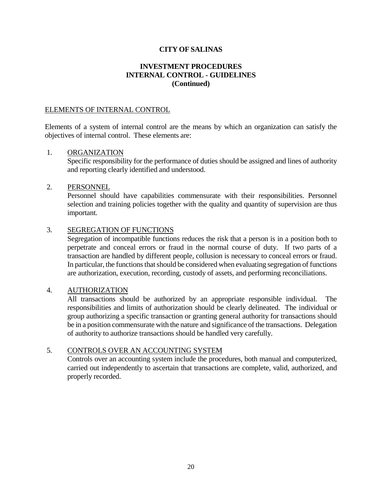## **INVESTMENT PROCEDURES INTERNAL CONTROL - GUIDELINES (Continued)**

#### ELEMENTS OF INTERNAL CONTROL

Elements of a system of internal control are the means by which an organization can satisfy the objectives of internal control. These elements are:

#### 1. ORGANIZATION

Specific responsibility for the performance of duties should be assigned and lines of authority and reporting clearly identified and understood.

#### 2. PERSONNEL

Personnel should have capabilities commensurate with their responsibilities. Personnel selection and training policies together with the quality and quantity of supervision are thus important.

#### 3. SEGREGATION OF FUNCTIONS

Segregation of incompatible functions reduces the risk that a person is in a position both to perpetrate and conceal errors or fraud in the normal course of duty. If two parts of a transaction are handled by different people, collusion is necessary to conceal errors or fraud. In particular, the functions that should be considered when evaluating segregation of functions are authorization, execution, recording, custody of assets, and performing reconciliations.

#### 4. AUTHORIZATION

All transactions should be authorized by an appropriate responsible individual. The responsibilities and limits of authorization should be clearly delineated. The individual or group authorizing a specific transaction or granting general authority for transactions should be in a position commensurate with the nature and significance of the transactions. Delegation of authority to authorize transactions should be handled very carefully.

#### 5. CONTROLS OVER AN ACCOUNTING SYSTEM

Controls over an accounting system include the procedures, both manual and computerized, carried out independently to ascertain that transactions are complete, valid, authorized, and properly recorded.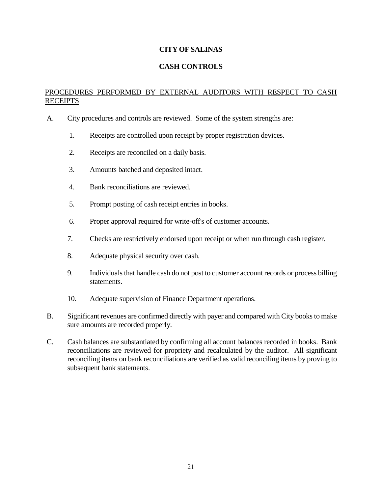## **CASH CONTROLS**

## PROCEDURES PERFORMED BY EXTERNAL AUDITORS WITH RESPECT TO CASH RECEIPTS

- A. City procedures and controls are reviewed. Some of the system strengths are:
	- 1. Receipts are controlled upon receipt by proper registration devices.
	- 2. Receipts are reconciled on a daily basis.
	- 3. Amounts batched and deposited intact.
	- 4. Bank reconciliations are reviewed.
	- 5. Prompt posting of cash receipt entries in books.
	- 6. Proper approval required for write-off's of customer accounts.
	- 7. Checks are restrictively endorsed upon receipt or when run through cash register.
	- 8. Adequate physical security over cash.
	- 9. Individuals that handle cash do not post to customer account records or process billing statements.
	- 10. Adequate supervision of Finance Department operations.
- B. Significant revenues are confirmed directly with payer and compared with City books to make sure amounts are recorded properly.
- C. Cash balances are substantiated by confirming all account balances recorded in books. Bank reconciliations are reviewed for propriety and recalculated by the auditor. All significant reconciling items on bank reconciliations are verified as valid reconciling items by proving to subsequent bank statements.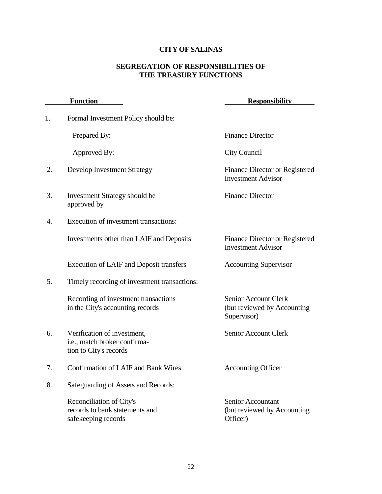## **SEGREGATION OF RESPONSIBILITIES OF THE TREASURY FUNCTIONS**

|    | <b>Function</b>                                                                       | <b>Responsibility</b>                                              |
|----|---------------------------------------------------------------------------------------|--------------------------------------------------------------------|
| 1. | Formal Investment Policy should be:                                                   |                                                                    |
|    | Prepared By:                                                                          | <b>Finance Director</b>                                            |
|    | Approved By:                                                                          | City Council                                                       |
| 2. | <b>Develop Investment Strategy</b>                                                    | Finance Director or Registered<br><b>Investment Advisor</b>        |
| 3. | Investment Strategy should be<br>approved by                                          | <b>Finance Director</b>                                            |
| 4. | Execution of investment transactions:                                                 |                                                                    |
|    | Investments other than LAIF and Deposits                                              | Finance Director or Registered<br><b>Investment Advisor</b>        |
|    | Execution of LAIF and Deposit transfers                                               | <b>Accounting Supervisor</b>                                       |
| 5. | Timely recording of investment transactions:                                          |                                                                    |
|    | Recording of investment transactions<br>in the City's accounting records              | Senior Account Clerk<br>(but reviewed by Accounting<br>Supervisor) |
| 6. | Verification of investment,<br>i.e., match broker confirma-<br>tion to City's records | Senior Account Clerk                                               |
| 7. | <b>Confirmation of LAIF and Bank Wires</b>                                            | <b>Accounting Officer</b>                                          |
| 8. | Safeguarding of Assets and Records:                                                   |                                                                    |
|    | Reconciliation of City's<br>records to bank statements and<br>safekeeping records     | Senior Accountant<br>(but reviewed by Accounting)<br>Officer)      |